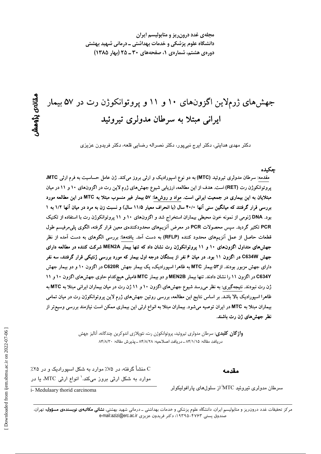مجلهی غدد درون ریز و متابولیسم ایران دانشگاه علوم پزشکی و خدمات بهداشتی ــ درمانی شهید بهشتی دوره یه هشتم، شماره ی ۱، صفحههای ۳۰ ـ ۲۵ (بهار ۱۳۸۵)

# جهشهای ژرملاین اگزونهای ۱۰ و ۱۱ و پروتوانکوژن رت در ۵۷ بیمار ایرانی مبتلا به سرطان مدولری تیروئید

دکتر مهدی هدایتی، دکتر ایرج نبیپور، دکتر نصراله رضایی قلعه، دکتر فریدون عزیزی

#### جكىدە

مقدمه: سرطان مدولری تیروئید (MTC) به دو نوع اسپورادیک و ارثی بروز میکند. ژن عامل حساسیت به فرم ارثی MTC، پروتوانکوژن رت (RET) است. هدف از این مطالعه، ارزیابی شیوع جهش های ژرم لاین رت در اگزونهای ۱۰ و ۱۱ در میان مبتلایان به این بیماری در جمعیت ایرانی است. مواد و روشها: ۵۷ بیمار غیر منسوب مبتلا به MTC در این مطالعه مورد بررسی قرار گرفتند که میانگین سنی آنها ۴۰/۰ سال (با انحراف معیار ۱۱/۵ سال) و نسبت زن به مرد در میان آنها ۱/۲ به ۱ بود. DNA ژنومی از نمونه خون محیطی بیماران استخراج شد و اگزونهای ۱۰ و ۱۱ پروتوانکوژن رت با استفاده از تکنیک PCR تکثیر گردید. سپس محصولات PCR در معرض آنزیمهای محدودکنندهی معین قرار گرفته، الگوی پلی مرفیسم طول قطعات حاصل از عمل آنزیمهای محدود کننده (RFLP) به دست آمد. یافتهها: بررسی الگوهای به دست آمده از نظر جهشهای متداول اگزونهای ۱۰ و ۱۱ پروتوانکوژن رت نشان داد که تنها بیمار MEN2A شرکت کننده در مطالعه دارای جهش C634W در اگزون ۱۱ بود. در میان ۶ نفر از بستگان درجه اول بیمار که مورد بررسی ژنتیکی قرار گرفتند، سه نفر دارای جهش مزبور بودند. از۵۳ بیمار MTC به ظاهرا اسپورادیک، یک بیمار جهش C620R در اگزون ۱۰ و دو بیمار جهش C634Y در اگزون ۱۱ را نشان دادند. تنها بیمار MEN2B و دو بیمار MTC فامیلی هیچکدام حاوی جهشهای اگزون ۱۰ و ۱۱ ژن رت نبودند. نتیجهگیری: به نظر میرسد شیوع جهشهای اگزون ۱۰ و ۱۱ ژن رت در میان بیماران ایرانی مبتلا به MTC به ظاهرا اسپورادیک بالا باشد. بر اساس نتایج این مطالعه، بررسی روتین جهش های ژرم لاین پروتوانکوژن رت در میان تمامی بیماران مبتلا به MTC در ایران توصیه میشود. بیماران مبتلا به انواع ارثی این بیماری ممکن است نیازمند بررسی وسیعتر از نظر جهشهای ژن رت باشند.

> **واژ گان کلیدی**: سرطان مدولری تیروئید، پروتوانکوژن رت، نئوپلازی اندوکرین چندگانه، آنالیز جهش دريافت مقاله: ٨۴/١/١۵ ـ دريافت اصلاحيه: ٨۴/٨/٢٨ ـ پذيرش مقاله: ٨۴/٨/٣٠

> > مقدمه

C منشأ گرفته، در ۷۵٪ موارد به شکل اسپورادیک و در ۲۵٪ موارد به شکل ارثی بروز میکند.<sup>\</sup> انواع ارثی MTC، یا در

سرطان مدولری تیروئید MTC از سلولهای پارافولیکولر

i- Medulaary thorid carcinoma

مرکز تحقیقات غدد درون ریز و متابولیسم ایران، دانشگاه علوم پزشکی و خدمات بهداشتی ــ درمانی شهید بهشتی، **نشانی مکاتبهی نویسندهی مسؤول:** تهران، صندوق يستى ۴۷۶۳-۱۹۳۹۵؛ دكتر فريدون عزيزى e-mail:azizi@erc.ac.ir

ىقالەي يۆوھىتىر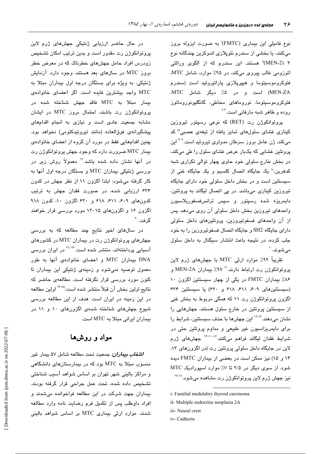نوع فامیلی این بیماری (FMTC) به صورت ایزوله بروز میکنند، یا بخشی از سندرم نئوپلازی اندوکرین چندگانه نوع ۲ (MEN-2)<sup>ii</sup> هستند. این سندرم که از الگوی وراثتی اتوزومی غالب پیروی میکند، در ۹۵٪ موارد، شامل MTC، فئوکروموسیتوما و هیپرپلازی پاراتیروئید است (سندرم MEN-ZA) است و در ۵٪ دیگر شامل MTC. فئوكروموسیتوما، نوروماهای مخاطی، گانگلیونوروماتوز روده و ظاهر شبه مارفانی است.<sup>۲،۳</sup>

پروتوانکوژن رت (RET) که نوعی رسپتور تیروزین کینازی غشای سلولهای تمایز یافته از تیغهی عصبی<sup>اا</sup> کد میکند، ژن عامل بروز سرطان مدولری تیروئید است.<sup>۴-۹</sup> این پروتئین غشایی که یکبار عرض غشای سلول را طی میکند، در بخش خارج سلولی خود حاوی چهار توالی تکراری شبه کدهرین،" یک جایگاه اتصال کلسیم و یک جایگاه غنی از سیستئین است و در بخش داخل سلولی خود دارای جایگاه تیروزین کینازی میباشد. در پی اتصال لیگاند به پروتئین، دايمريزه شده رسپتور و سپس ترانسفسفوريلاسيون واحدهای تیروزین بخش داخل سلولی آن روی میدهد. پس از آن واحدهای فسفوتیروزین، پروتئینهای داخل سلولی دارای جایگاه SH2 و جایگاه اتصال فسفوتیروزین را به خود جلب کرده، در نتیجه باعث انتشار سیگنال به داخل سلول مے شوند. ``

تقریباً ۹۲٪ موارد ارثی MTC با جهشهای ژرم لاین پروتوانكوژن رت ارتباط دارند. `` ٩٧٪ بيماران MEN-2A و ۸۶٪ بیماران FMTC در یکی از چهار سیستئین اگزون ۱۰ (سیستئینهای ۶۰۹، ۶۱۱، ۶۱۸ و ۶۲۰) یا سیستئین ۶۳۴ اگزون پروتوانکوژن رت ۱۱ که همگی مربوط به بخش غنی از سیستئین پروتئین در خارج سلول هستند، جهشهایی را نشان میدهند.<sup>۱۲٬۱۲</sup> این جهشها با حذف سیستئین، شرایط را برای دایمریزاسیون غیر طبیعی و مداوم پروتئین حتی در شرایط فقدان لیگاند فراهم میکنند.<sup>۱٬۰۰۷</sup> جهشهای ژرم لاين در جايگاه داخل سلولي پروتئين رت (در اگزونهاي ١٣، ۱۴ و ۱۵) نیز ممکن است در بعضی از بیماران FMTC دیده شود. از سوی دیگر در ۲/۵ تا ۷٪ موارد اسپورادیک MTC نيز جهش ژرم لاين پروتوانكوژن رت مشاهده مي شود.<sup>۱۷،۱۸</sup>

i- Familial medulaliry thyroid carcinoma

- ii- Multiple endocrine neoplasia 2A
- iii- Neural crest
- iv- Cadherin

در حال حاضر ارزیابی ژنتیکی جهشهای ژرم لاین پروتوانکوژن رت مقدور است و بدین ترتیب امکان تشخیص زودرس افراد حامل جهشهای خطرناک که در معرض خطر بروز MTC در سالهای بعد هستند، وجود دارد. آزمایش ژنتیکی، به ویژه برای بستگان درجه اول بیماران مبتلا به MTC واجد بیشترین فایده است. اگر اعضای خانوادهی بيمار مبتلا به MTC فاقد جهش شناخته شده در پروتوانکوژن رت باشند، احتمال بروز MTC در ایشان مشابه جمعیت عادی است و نیازی به انجام اقدامهای پیشگیرانهی فوقالعاده (مانند تیروئیدکتومی) نخواهد بود. چنین اقدامهایی فقط در مورد آن گروه از اعضای خانوادهی بیمار MTC ضرورت دارد که وجود جهش پروتوانکوژن رت در آنها نشان داده شده باشد." معمولاً روش زیر در بررسی ژنتیکی بیماران MTC و بستگان درجه اول آنها به کار گرفته می شود: ابتدا اگزون ۱۱ از نظر جهش در کدون ۶۳۴ ارزیابی شده، در صورت فقدان جهش به ترتیب کدونهای ۶۰۹، ۶۱۱، ۶۱۸ و ۶۲۰ اگزون ۱۰، کدون ۹۱۸ اگزون ۱۶ و اگزونهای ۱۵–۱۳ مورد بررسی قرار خواهند گرفت.<sup>۲۰</sup>

در سالهای اخیر نتایج چند مطالعه که به بررسی جهشهای پروتوانکوژن رت در بیماران MTC در کشورهای آسیایی پرداختهاند، منتشر شده است.<sup>۲۳-۲۲</sup> در ایران بررس*ی* DNA بیماران MTC و اعضای خانوادهی آنها به طور معمول توصیه نمیشود و زمینه*ی* ژنتیکی این بیماران تا کنون مورد بررسی قرار نگرفته است. مطالعهی حاضر که نتايج اولين بخش آن قبلاً منتشر شده است، <sup>٢۴.٢٥</sup> اولين مطالعه در این زمینه در ایران است. هدف از این مطالعه بررسی شیوع جهشهای شناخته شدهی اگزونهای ۱۰ و ۱۱ در بیماران ایرانی مبتلا به MTC است.

## مواد و روشها

**انتخاب بیم***اران:* **جمعی**ت تحت مطالعه شامل ۵۷ بیمار غیر منسوب میتلا به MTC بود که در بیمارستانهای دانشگاهی و مراکز بالینی شهر تهران بر اساس شواهد آسیب شناختی تشخيص داده شده، تحت عمل جراحى قرار گرفته بودند. بیماران جهت شرکت در این مطالعه فراخوانده میشدند و افراد داوطلب پس از تکمیل فرم رضایت نامه وارد مطالعه شدند. موارد ارثی بیماری MTC بر اساس شواهد بالینی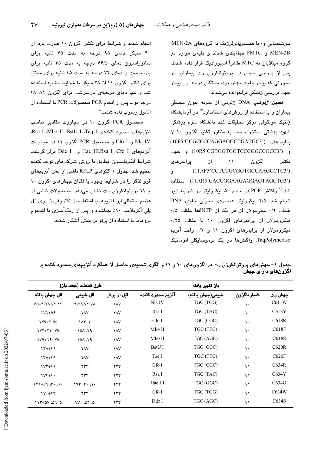بیوشیمیایی و/ یا هیستوپاتولوژیک به گروههای MEN-2A، MEN-2B و FMTC طبقهبندی شدند و بقیهی موارد در گروه مبتلایان به MTC ظاهراً اسپورادیک قرار داده شدند. پس از بررسی جهش در پروتوانکوژن رت بیماران، در صورتی که بیمار واجد جهش بود، بستگان درجه اول بیمار جهت بررسی ژنتیکی فراخوانده میشدند.

**تعیی***ن ژنو***تیپ** DNA ژنومی از نمونه خون محیطی بیماران و با استفاده از روشهای استاندارد<sup>۲۶</sup> در آزمایشگاه ژنتیک مولکولی مرکز تحقیقات غدد دانشگاه علوم پزشکی شهید بهشتی استخراج شد. به منظور تکثیر اگزون ١٠ از يرايمرهاي (10F5'GCGCCCCAGGAGGCTGATGC3') و (10R5'CGTGGTGGTCCCGGCCGCC3) و جهت یرایمرهای  $\mathcal{N}$  $\lambda$ اگزون تكثير (11AF5'CCTCTGCGGTGCCAAGCCTC3') ٯ (11AR5'CACCGGAAGAGGAGTAGCTG3') استفاده شد.<sup>7۷</sup> واکنش PCR در حجم ۵۰ میکرولیتر در شرایط زیر انجام شد: ۲/۵ میکرولیتر عصارهی سلولی حاوی DNA غلظت ۰/۲ مللی مولار از هر یک از dNTPها غلظت ۰/۵ میکرومولار از پرایمرهای اگزون ۱۰ یا غلظت ۲۵/۰ میکرومولار از پرایمرهای اگزون ۱۱ و ۰/۲ واحد آنزیم TaqPolymerase. واکنشها در یک ترموسایکلر اتوماتیک

انجام شدند و شرایط برای تکثیر اگزون ۱۰ عبارت بود. از ۴۰ سیکل دمای ۹۵ درجه به مدت ۴۵ ثانیه برای دناتوراسیون دمای ۶۶/۵ درجه به مدت ۴۵ ثانیه برای بازسرشت و دمای ۷۲ درجه به مدت ۴۵ ثانیه برای سنتز. برای تکثیر اگزون ۱۱ از ۲۸ سیکل با شرایط مشابه استفاده شد و تنها دمای مرحلهی بازسرشت برای اگزون ١١، ٤٨ درجه بود. پس از انجام PCR محصولات PCR با استفاده از اتانول رسوب داده شدند.<sup>۲۸</sup>

محصول PCR اگزون ١٠ در مجاورت مقادير مناسب آنزیمهای محدود کنندهی Rsa I ،Mbo II ،BstU I ،Taq I، Nla IV و Cfo I و محصول PCR اگزون ١١ در مجاورت آنزیمهای Hae III،Rsa I ،Cfo I و Dde I قرار گرفتند. شرایط انکوباسیون مطابق با روش شرکتهای تولید کننده تنظیم شد. جدول ۱ الگوهای RFLP ناشی از عمل آنزیمهای فوقالذکر را در شرایط وجود یا فقدان جهشهای اگزون ۱۰ و ۱۱ پروتوانکوژن رت نشان میدهد. محصولات ناشی از هضم احتمالی این آنزیمها با استفاده از الکتروفورز روی ژل پلی آکریلامید ۱۰٪ جداشده و پس از رنگآمیزی با اتیدیوم بروماید با استفاده از پرتو فرابنفش آشکار شدند.

| جدول ۱– جهشهای پروتوانکوژن رت در اگزونهای ۱۰ و ۱۱ و الگوی تحدیدی حاصل از عملکرد آنزیمهای محدود کننده بر |  |                                    |
|---------------------------------------------------------------------------------------------------------|--|------------------------------------|
|                                                                                                         |  | اگزونها <i>ی</i> دارا <i>ی</i> جهش |

|                                                                                                                 | طول قطعات (جفت باز)   |                |                   | باز تغيير يافته  |               |                    |
|-----------------------------------------------------------------------------------------------------------------|-----------------------|----------------|-------------------|------------------|---------------|--------------------|
| الل جهش يافته                                                                                                   | الل طبيعي             | قبل از برش     | آنزيم محدود كننده | طبيعي(جهش يافته) | شمارەاگزون    | جهش رت             |
| 649.70.07.17                                                                                                    | <b>A.TA.VY.VA</b>     | <b>AV</b>      | Nla IV            | TGC (TGG)        | $\mathcal{L}$ | C611W              |
| $151+05$                                                                                                        | <b>AV</b>             | <b>AV</b>      | Rsa I             | TGC (TAC)        | ١.            | C618Y              |
| $159 + 7.00$                                                                                                    | $\Lambda$ ۴ $\Lambda$ | <b>AV</b>      | Cfo I             | TGC (CGC)        | ١.            | C618R              |
| $15 + 77$                                                                                                       | 101.19                | <b>AV</b>      | Mbo II            | TGC (TTC)        | ١.            | C618F              |
| $159 + 19.79$                                                                                                   | 101.19                | <b>AV</b>      | Mbo II            | TGC (AGC)        | ١٠            | C <sub>618</sub> S |
| $171 + 99$                                                                                                      | <b>AV</b>             | <b>AV</b>      | BstU I            | TGC (CGC)        | ١.            | C620R              |
| $171 + 99$                                                                                                      | <b>AV</b>             | <b>AV</b>      | Taq I             | TGC (TTC)        | ١.            | C620F              |
| $\frac{1}{\sqrt{7}}$                                                                                            | ۲۳۴                   | ۲۳۴            | Cfo I             | TGC (CGC)        | ۱١            | C634R              |
| $Vf + F$                                                                                                        | $\tau\tau\tau$        | $\tau\tau\tau$ | Rsa I             | TGC (TAC)        | $\lambda$     | C634Y              |
| $\mathcal{N}$ $\mathcal{N}$ $\mathcal{N}$ $\mathcal{N}$ $\mathcal{N}$ $\mathcal{N}$ $\mathcal{N}$ $\mathcal{N}$ | 196.74.14             | $\tau\tau\tau$ | Hae III           | TGC (GGC)        | ۱١            | C634G              |
| $V \cdot + F$                                                                                                   | $\tau\tau\tau$        | $\tau\tau\tau$ | $Cf$ o I          | TGC (TGG)        | $\lambda$     | C634W              |
| $0.70 - 00.09$                                                                                                  | $1V \cdot 090$        | ۲۳۴            | Dde I             | TGC (AGC)        | ۱۱            | C634S              |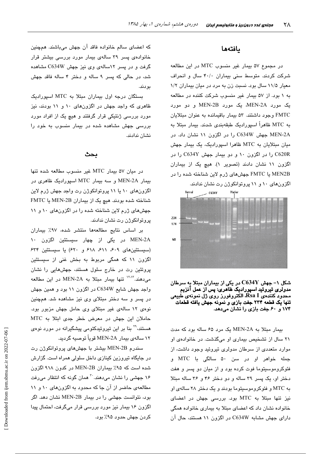#### بافتهها

در مجموع ۵۷ بیمار غیر منسوب MTC در این مطالعه شرکت کردند. متوسط سنی بیماران ۴۰/۰ سال و انحراف معیار ۱۱/۵ سال بود. نسبت زن به مرد در میان بیماران ۱/۲ به ۱ بود. از ۵۷ بیمار غیر منسوب شرکت کننده در مطالعه یک مورد MEN-2A، یک مورد MEN-2B و دو مورد FMTC وجود داشتند. ۵۳ بیمار باقیمانده به عنوان مبتلایان به MTC ظاهراً اسپورادیک طبقهبندی شدند. بیمار مبتلا به MEN-2A جهش C634W را در اگزون ۱۱ نشان داد. در میان میتلایان به MTC ظاهرا اسپورادیک، یک بیمار جهش C620R را در اگزون ۱۰ و دو بیمار جهش C634Y را در اگزون ١١ نشان دادند (تصوير ١). هيچ يک از بيماران MEN2B با FMTC جهشهای ژرم لاین شناخته شده را در



شکل ۱– جهش  ${\rm C634Y}$  در یکی از بیماران مبتلا به سرطان مدولری تیروئید اسپورادیک ظاهری: پس از عمل آنزیم محدّود کنندهی Rsa I، الکتروفورز روی ژل نمونهی طبیعی تنها یک قطعه ۲۳۴ جفت بازی و نمونه جهش یافته قطعات ۱۷۴ و ۶۰ جفت بازی را نشان میدهد.

بیمار مبتلا به MEN-2A یک مرد ۶۵ ساله بود که مدت ٢١ سال از تشخيص بيماري او مي گذشت. در خانوادهي او موارد متعددی از سرطان مدولری تیروئید وجود داشت، از جمله خواهر او در سن ۵۰ سالگی با MTC و فئوکروموسیتوما فوت کرده بود و از میان دو پسر و هفت دختر او، یک پسر ۳۹ ساله و دو دختر ۴۶ و ۳۶ ساله مبتلا به MTC و فئوکروموسیتوما بودند و یک دختر ۲۸ سالهی او نیز تنها مبتلا به MTC بود. بررسی جهش در اعضای خانواده نشان داد که اعضای مبتلا به بیماری خانواده همگی دارای جهش مشابه C634W در اگزون ۱۱ هستند، حال آن

که اعضای سالم خانواده فاقد آن جهش میباشند. همچنین خانوادهی پسر ۳۹ سالهی بیمار مورد بررسی بیشتر قرار گرفت و در پسر ۱۲سالهی وی نیز جهش C634W مشاهده شد، در حالی که پسر ۹ ساله و دختر ۴ ساله فاقد جهش بودند.

بستگان درجه اول بیماران مبتلا به MTC اسپورادیک ظاهری که واجد جهش در اگزونهای ۱۰ و ۱۱ بودند، نیز مورد بررسی ژنتیکی قرار گرفتند و هیچ یک از افراد مورد بررسی جهش مشاهده شده در بیمار منسوب به خود را نشان ندادند.

#### بحث

در ميان ۵۷ بيمار MTC غير منسوب مطالعه شده تنها بیمار MEN-2A و سه بیمار MTC اسپورادیک ظاهری در اگزونهای ۱۰ یا ۱۱ پروتوانکوژن رت واجد جهش ژرم لاین شناخته شده بودند. هیچ یک از بیماران MEN-2B یا FMTC جهشهای ژرم لاین شناخته شده را در اگزونهای ١٠ و ١١ پروتوانکوژن رت نشان ندادند.

بر اساس نتايج مطالعهها منتشر شده، ٩٧٪ بيماران MEN-2A در یکی از چهار سیستئین اگزون ۱۰ (سیستئینهای ۶۰۹، ۶۱۱، ۶۱۸ و ۶۲۰) یا سیستئین ۶۳۴ اگزون ۱۱ که همگی مربوط به بخش غنی از سیستئین پروتئین رت در خارج سلول هستند، جهشهایی را نشان می دهند. <sup>۱۲٬۱۲</sup> تنها بیمار مبتلا به MEN-2A در این مطالعه واجد جهش شایع C634W در اگزون ۱۱ بود و همین جهش در پسر و سه دختر مبتلای وی نیز مشاهده شد. همچنین نوهی ۱۲ سالهی غیر مبتلای وی حامل جهش مزبور بود. حاملان این جهش در معرض خطر جدی ابتلا به MTC هستند،<sup>۲۹</sup> بنا بر این تیروئیدکتومی پیشگیرانه در مورد نوهی ۱۲ سالەي بېمار MEN-2A قوياً توصيە گرديد.

سندرم MEN-2B بیشتر با جهشهای پروتوانکوژن رت در جایگاه تیروزین کینازی داخل سلولی همراه است. گزارش شده است که ۹۵٪ بیماران MEN-2B در کدون ۹۱۸ اگزون ۱۶ جهشی را نشان میدهند. <sup>۳۰</sup> همان گونه که انتظار میرفت مطالعهی حاضر از آن جا که محدود به اگزونهای ١٠ و ١١ بود، نتوانست جهشی را در بیمار MEN-2B نشان دهد. اگر اگزون ۱۶ بیمار نیز مورد بررسی قرار میگرفت، احتمال پیدا کردن جهش حدود ۹۵٪ بود.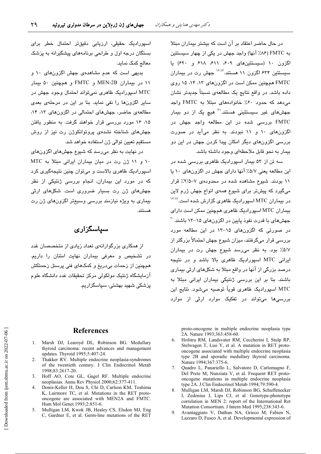در حال حاضر اعتقاد بر آن است که بیشتر بیماران مبتلا به FMTC (۸۶٪ آنها) واجد جهش در یکی از چهار سیستئین اگزون ١٠ (سيستئينهاى ٤٠٩، ٤١١، ٤١٨ و ٤٢٠) يا سیستئین ۶۳۴ اگزون ۱۱ هستند.<sup>۱۲٬۱۲</sup> جهش رت در بیماران FMTC همچنین ممکن است در اگزونهای ۸۳، ۱۴ ۱۵ روی داده باشد. در واقع نتایج یک مطالعهی نسبتاً جدیدتر نشان می دهد که حدود ۶۰٪ خانوادههای مبتلا به FMTC واجد جهشهای غیر سیستئینی هستند.<sup>۳۱</sup> هیچ یک از دو بیمار FMTC بررسی شده در این مطالعه واجد جهش در اگزونهای ۱۰ و ۱۱ نبودند. به نظر میآید در صورت بررسی اگزونهای دیگر امکان پیدا کردن جهش در این دو بیمار به نحو قابل ملاحظهای وجود داشته باشد.

سه تن از ۵۳ بیمار اسپورادیک ظاهری بررسی شده در این مطالعه یعنی ۵/۷٪ آنها دارای جهش در اگزونهای ۱۰ یا ۱۱ بودند. شیوع مشاهده شده در محدودهی ۷–۲/۵٪ قرار میگیرد که پیشتر برای شیوع همهی انواع جهش ژرم لاین در بیماران MTC اسپورادیک ظاهری گزارش شده است.<sup>۱۶٬۱۷</sup> بیماران MTC اسپورادیک ظاهری همچنین ممکن است دارای جهشهای با قدرت نفوذ پایین در اگزونهای ۱۵–۱۳ باشند. <sup>۲۰</sup> در صورتی که اگزونهای ۱۵–۱۳ در این مطالعه مورد بررسی قرار میگرفتند، میزان شیوع جهش احتمالاً پزرگتر از ٥/٧٪ بود. به نظر مى رسد شيوع جهش رت در بيماران ایرانی MTC اسپورادیک ظاهری بالا باشد و در نتیجه درصد بزرگی از آنها در واقع مبتلا به شکلهای ارثی بیماری باشند. بنا بر این بررسی ژنتیکی بیماران ایرانی مبتلا به MTC اسپوراديک ظاهری قوياً توصيه میشود. نتايج اين بررسے،ها مے،تواند در تفکیک موارد ارثے از موارد

اسپورادیک حقیقی، ارزیابی دقیقتر احتمال خطر برای بستگان درجه اول و طراحی برنامههای پیشگیرانه به پزشک معالج كمك نمايد.

بدیهی است که عدم مشاهدهی جهش اگزونهای ۱۰ و ۱۱ در بیماران MEN-2B و FMTC و همچنین ۵۰ بیمار MTC اسپورادیک ظاهری نمیتواند احتمال وجود جهش در سایر اگزونها را نفی نماید. بنا بر این در مرحلهی بعدی مطالعهی حاضر، جهشهای احتمالی در اگزونهای ١٣، ١٣، ۱۵، ۱۶ مورد بررسی قرار خواهند گرفت. به منظور یافتن جهشهای شناخته نشدهی پروتوانکوژن رت نیز از روش مستقیم تعیین توالی ژن استفاده خواهد شد.

در نهایت به نظر میرسد که شیوع جهشهای اگزونهای ١٠ و ١١ ژن رت در ميان بيماران ايراني مبتلا به MTC اسپورادیک ظاهری بالاست و میتوان چنین نتیجهگیری کرد که در مورد این بیماران، انجام بررس*ی* ژنتیکی از نظر جهشهای ژن رت بسیار ضروری است. شکلهای ارثی بیماری به ویژه نیازمند بررسی وسیعتر اگزونهای ژن رت مستند.

### سیاسگزاری

از همکاری بزرگوارانهی تعداد زیادی از متخصصان غدد در تشخیص و معرفی بیماران نهایت امتنان را داریم. همچنین از زحمات بیدریغ و کمکهای فنی پرسنل زحمتکش آزمايشگاه ژنتيک مولکولی مرکز تحقيقات غدد دانشگاه علوم پزشکی شهید بهشتی، سپاسگزاریم.

#### **References**

- 1. Marsh DJ, Learoyd DL, Robinson BG. Medullary thyroid carcinoma: recent advances and management updates. Thyroid 1995;5:407-24.
- $\mathcal{D}$ Thakker RV. Multiple endocrine neoplasia-syndromes of the twentieth century. J Clin Endocrinol Metab 1998;83:2617-20.
- 3. Hoff AO, Cote GL, Gagel RF. Multiple endocrine neoplasias. Annu Rev Physiol 2000;62:377-411.
- Donis-Keller H, Dou S, Chi D, Carlson KM, Toshima  $\overline{4}$ K, Lairmore TC, et al. Mutations in the RET protooncogene are associated with MEN2A and FMTC. Hum Mol Genet 1993;2:851-6.
- 5. Mulligan LM, Kwok JB, Healey CS, Elsdon MJ, Eng C, Gardner E, et al. Germ-line mutations of the RET

proto-oncogene in multiple endocrine neoplasia type 2A. Nature 1993;363:458-60.

- 6. Hofstra RM, Landsvater RM, Ceccherini I, Stulp RP, Stelwagen T, Luo Y, et al. A mutation in RET protooncogene associated with multiple endocrine neoplasia type 2B and sporadic medullary thyroid carcinoma. Nature 1994;367:375-6.
- Quadro L, Panariello L, Salvatore D, Carlomagno F,  $7^{\circ}$ Del Prete M, Nunziata V, et al. Frequent RET protooncogene mutations in multiple endocrine neoplasia type 2A. J Clin Endocrinol Metab 1994;79:590-4.
- 8. Mulligan LM, Marsh DJ, Robinson BG, Schuffenecker I, Zedenius J, Lips CJ, et al. Genotype-phenotype correlation in MEN 2: report of the International Ret Mutation Consortium. J Intern Med 1995;238:343-6.
- 9. Avantaggiato V, Dathan NA, Grieco M, Fabien N, Lazzaro D, Fusco A, et al. Developmental expression of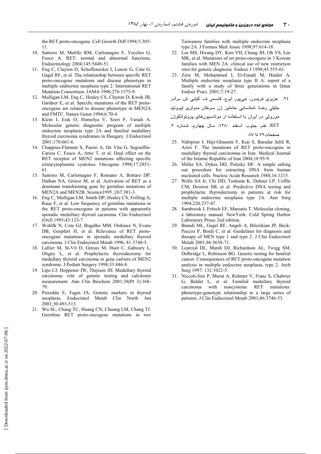the RET proto-oncogene. Cell Growth Diff 1994;5:305-11

- 10. Santoro M, Melillo RM, Carlomagno F, Vecchio G, Fusco A. RET: normal and abnormal functions. Endocrinology 2004;145:5448-51.
- 11. Eng C, Clayton D, Schuffenecker I, Lenoir G, Cote G, Gagel RF, et al. The relationship between specific RET proto-oncogene mutations and disease phenotype in multiple endocrine neoplasia type 2: International RET Mutation Consortium. JAMA 1996;276:1575-9.
- 12. Mulligan LM, Eng C, Healey CS, Clayton D, Kwok JB, Gardner E, et al. Specific mutations of the RET protooncogene are related to disease phenotype in MEN2A and FMTC. Nature Genet 1994;6:70-4.
- 13. Klein I, Esik O, Homolya V, Szeri F, Varadi A. Molecular genetic diagnostic program of multiple endocrine neoplasia type 2A and familial medullary thyroid carcinoma syndromes in Hungary. J Endocrinol  $2001:170:661-6$
- 14. Chappius-Flament S, Pasini A, De Vita G, Segouffin-Cariou C, Fusco A, Attie T, et al. Dual effect on the RET receptor of MEN2 mutations affecting specific extracytoplasmic cysteines. Oncogene 1998;17:2851-61
- 15. Santoro M, Carlomagno F, Romano A, Bottaro DP, Dathan NA, Grieco M, et al. Activation of RET as a dominant transforming gene by germline mutations of MEN2A and MEN2B. Science1995 ;267:381-3.
- 16. Eng C, Mulligan LM, Smith DP, Healey CS, Frilling A, Raue F, et al. Low frequency of germline mutations in the RET proto-oncogene in patients with apparently sporadic medullary thyroid cacinoma. Clin Endocrinol (Oxf) 1995;43:123-7.
- 17. Wohllk N, Cote GJ, Bugalho MM, Ordonez N, Evans DB, Goepfert H, et al. Relevance of RET protooncogene mutations in sporadic medullary thyroid carcinoma. J Clin Endocrinol Metab 1996; 81:3740-5.
- 18. Lallier M, St-Vil D, Giroux M, Huot C, Gaboury L, Oligny L, et al. Prophylactic thyroidectomy for medullary thyroid carcinoma in gene carriers of MEN2 syndrome. J Pediatr Surgery 1998;33:846-8.
- 19. Lips CJ, Hoppener JW, Thijssen JH. Medullary thyroid carcinoma: role of genetic testing and calcitonin measurement. Ann Clin Biochem 2001;38(Pt 3):168-79
- 20. Puxeddu E, Fagin JA. Genetic markers in thyroid neoplasia. Endocrinol Metab Clin North Am 2001;30:493-513.
- 21. Wu SL, Chang TC, Huang CN, Chuang LM, Chang TJ. Germline RET proto-oncogene mutations in two

Taiwanese families with multiple endocrine neoplasia type 2A. J Formos Med Assoc 1998;97:614-18.

- 22. Lee MS, Hwang DY, Kim YH, Chung JH, Oh YS, Lee MK, et al. Mutations of ret proto-oncogene in 3 Korean families with MEN 2A: clinical use of new restriction sites for genetic diagnosis Endocr J 1998;45:555-61.
- 23. Zirie M, Mohammed I, El-Emadi M, Haider A. Multiple endocrine neoplasia type II A: report of a family with a study of three generations in Qatar Endocr Pract. 2001;7:19-27.

```
۲٤. عزیزی فریدون، نبیپور ایرج، قاسمی ف، کیایی ش، برادر
```
جلیلی رضا. شناسایی حاملین ژن سرطان مدولری تیروئید

```
موروثی در ایران با استفاده از موتاسیونهای پروتوانکوژن
```
- 25. Nabipour I, Haji-Ghasemi F, Kiai S, Baradar Jalili R, Azizi F. The mutations of RET proto-oncogene in medullary thyroid carcinomas in Iran. Medical Journal of the Islamic Republic of Iran 2004;18:95-9.
- 26. Miller SA, Dykes DD, Polesky HF. A simple salting out procedure for extracting DNA from human nucleated cells. Nucleic Acids Research 1988;16:1215.
- 27. Wells SA Jr, Chi DD, Toshima K, Dehner LP, Coffin CM, Dowton SB, et al. Predictive DNA testing and prophylactic thyroidectomy in patients at risk for multiple endocrine neoplasia type 2A. Ann Surg 1994;220:237-47.
- 28. Sambrook J, Fritsch EF, Maniatis T. Molecular cloning, a laboratory manual. NewYork: Cold Spring Harbor Laboratory Press; 2nd edition.
- 29. Brandi ML, Gagel RF, Angeli A, Bilezikian JP, Beck-Peccoz P, Bordi C, et al. Guidelines for diagnosis and therapy of MEN type 1 and type 2. J Clin Endocrinol Metab 2001;86:5658-71.
- 30. Learoyd DL, Marsh DJ, Richardson AL, Twigg SM, Delbridge L, Robinson BG. Genetic testing for familial cancer. Consequences of RET proto-oncogene mutation analysis in multiple endocrine neoplasia, type 2. Arch Surg 1997; 132:1022-5.
- 31. Niccoli-Sire P, Murat A, Rohmer V, Franc S, Chabrier G, Baldet L, et al. Familial medullary thyroid noncysteine RET mutations: carcinoma with phenotype-genotype relationship in a large series of patients. J Clin Endocrinol Metab 2001;86:3746-53.